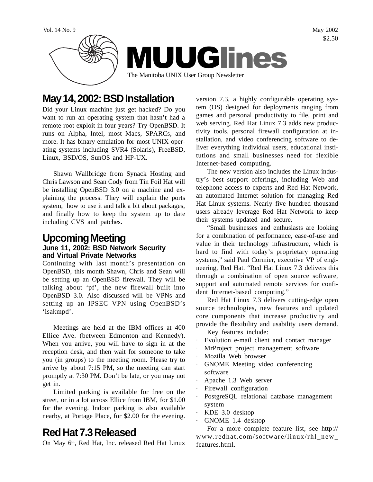

# **May 14, 2002: BSD Installation**

Did your Linux machine just get hacked? Do you want to run an operating system that hasn't had a remote root exploit in four years? Try OpenBSD. It runs on Alpha, Intel, most Macs, SPARCs, and more. It has binary emulation for most UNIX operating systems including SVR4 (Solaris), FreeBSD, Linux, BSD/OS, SunOS and HP-UX.

Shawn Wallbridge from Synack Hosting and Chris Lawson and Sean Cody from Tin Foil Hat will be installing OpenBSD 3.0 on a machine and explaining the process. They will explain the ports system, how to use it and talk a bit about packages, and finally how to keep the system up to date including CVS and patches.

#### **Upcoming Meeting June 11, 2002: BSD Network Security and Virtual Private Networks**

'isakmpd'.

Continuing with last month's presentation on OpenBSD, this month Shawn, Chris and Sean will be setting up an OpenBSD firewall. They will be talking about 'pf', the new firewall built into OpenBSD 3.0. Also discussed will be VPNs and setting up an IPSEC VPN using OpenBSD's

Meetings are held at the IBM offices at 400 Ellice Ave. (between Edmonton and Kennedy). When you arrive, you will have to sign in at the reception desk, and then wait for someone to take you (in groups) to the meeting room. Please try to arrive by about 7:15 PM, so the meeting can start promptly at 7:30 PM. Don't be late, or you may not get in.

Limited parking is available for free on the street, or in a lot across Ellice from IBM, for \$1.00 for the evening. Indoor parking is also available nearby, at Portage Place, for \$2.00 for the evening.

# **Red Hat 7.3 Released**

On May 6<sup>th</sup>, Red Hat, Inc. released Red Hat Linux

version 7.3, a highly configurable operating system (OS) designed for deployments ranging from games and personal productivity to file, print and web serving. Red Hat Linux 7.3 adds new productivity tools, personal firewall configuration at installation, and video conferencing software to deliver everything individual users, educational institutions and small businesses need for flexible Internet-based computing.

The new version also includes the Linux industry's best support offerings, including Web and telephone access to experts and Red Hat Network, an automated Internet solution for managing Red Hat Linux systems. Nearly five hundred thousand users already leverage Red Hat Network to keep their systems updated and secure.

"Small businesses and enthusiasts are looking for a combination of performance, ease-of-use and value in their technology infrastructure, which is hard to find with today's proprietary operating systems," said Paul Cormier, executive VP of engineering, Red Hat. "Red Hat Linux 7.3 delivers this through a combination of open source software, support and automated remote services for confident Internet-based computing."

Red Hat Linux 7.3 delivers cutting-edge open source technologies, new features and updated core components that increase productivity and provide the flexibility and usability users demand.

- Key features include:
- Evolution e-mail client and contact manager
- MrProject project management software
- Mozilla Web browser
- GNOME Meeting video conferencing software
- · Apache 1.3 Web server
- · Firewall configuration
- PostgreSQL relational database management system
- · KDE 3.0 desktop
- GNOME 1.4 desktop

For a more complete feature list, see http:// www.redhat.com/software/linux/rhl\_new\_ features.html.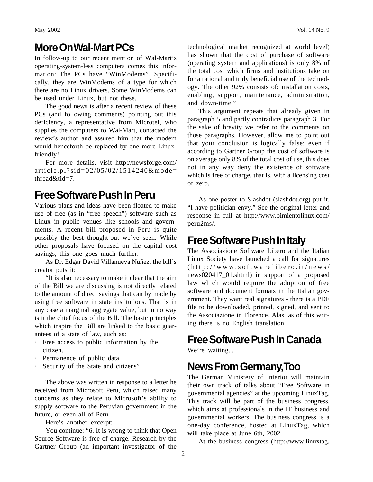#### **More On Wal-Mart PCs**

In follow-up to our recent mention of Wal-Mart's operating-system-less computers comes this information: The PCs have "WinModems". Specifically, they are WinModems of a type for which there are no Linux drivers. Some WinModems can be used under Linux, but not these.

The good news is after a recent review of these PCs (and following comments) pointing out this deficiency, a representative from Microtel, who supplies the computers to Wal-Mart, contacted the review's author and assured him that the modem would henceforth be replaced by one more Linuxfriendly!

For more details, visit http://newsforge.com/ article.pl?sid=02/05/02/1514240&mode= thread&tid=7.

#### **Free Software Push In Peru**

Various plans and ideas have been floated to make use of free (as in "free speech") software such as Linux in public venues like schools and governments. A recent bill proposed in Peru is quite possibly the best thought-out we've seen. While other proposals have focused on the capital cost savings, this one goes much further.

As Dr. Edgar David Villanueva Nuñez, the bill's creator puts it:

"It is also necessary to make it clear that the aim of the Bill we are discussing is not directly related to the amount of direct savings that can by made by using free software in state institutions. That is in any case a marginal aggregate value, but in no way is it the chief focus of the Bill. The basic principles which inspire the Bill are linked to the basic guarantees of a state of law, such as:

- · Free access to public information by the citizen.
- · Permanence of public data.
- Security of the State and citizens"

The above was written in response to a letter he received from Microsoft Peru, which raised many concerns as they relate to Microsoft's ability to supply software to the Peruvian government in the future, or even all of Peru.

Here's another excerpt:

You continue: "6. It is wrong to think that Open Source Software is free of charge. Research by the Gartner Group (an important investigator of the technological market recognized at world level) has shown that the cost of purchase of software (operating system and applications) is only 8% of the total cost which firms and institutions take on for a rational and truly beneficial use of the technology. The other 92% consists of: installation costs, enabling, support, maintenance, administration, and down-time."

This argument repeats that already given in paragraph 5 and partly contradicts paragraph 3. For the sake of brevity we refer to the comments on those paragraphs. However, allow me to point out that your conclusion is logically false: even if according to Gartner Group the cost of software is on average only 8% of the total cost of use, this does not in any way deny the existence of software which is free of charge, that is, with a licensing cost of zero.

As one poster to Slashdot (slashdot.org) put it, "I have politician envy." See the original letter and response in full at http://www.pimientolinux.com/ peru2ms/.

# **Free Software Push In Italy**

The Associazione Software Libero and the Italian Linux Society have launched a call for signatures (http://www.softwarelibero.it/news/ news020417\_01.shtml) in support of a proposed law which would require the adoption of free software and document formats in the Italian government. They want real signatures - there is a PDF file to be downloaded, printed, signed, and sent to the Associazione in Florence. Alas, as of this writing there is no English translation.

# **Free Software Push In Canada**

We're waiting...

# **News From Germany, Too**

The German Ministery of Interior will maintain their own track of talks about "Free Software in governmental agencies" at the upcoming LinuxTag. This track will be part of the business congress, which aims at professionals in the IT business and governmental workers. The business congress is a one-day conference, hosted at LinuxTag, which will take place at June 6th, 2002.

At the business congress (http://www.linuxtag.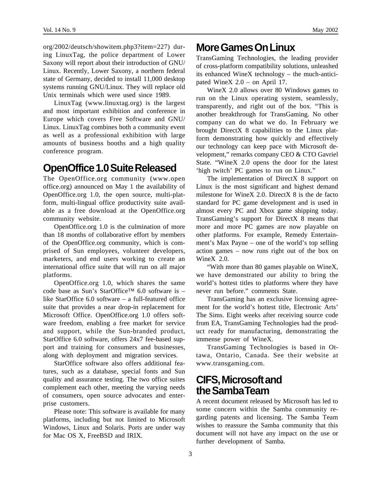org/2002/deutsch/showitem.php3?item=227) during LinuxTag, the police department of Lower Saxony will report about their introduction of GNU/ Linux. Recently, Lower Saxony, a northern federal state of Germany, decided to install 11,000 desktop systems running GNU/Linux. They will replace old Unix terminals which were used since 1989.

LinuxTag (www.linuxtag.org) is the largest and most important exhibition and conference in Europe which covers Free Software and GNU/ Linux. LinuxTag combines both a community event as well as a professional exhibition with large amounts of business booths and a high quality conference program.

#### **OpenOffice 1.0 Suite Released**

The OpenOffice.org community (www.open office.org) announced on May 1 the availability of OpenOffice.org 1.0, the open source, multi-platform, multi-lingual office productivity suite available as a free download at the OpenOffice.org community website.

OpenOffice.org 1.0 is the culmination of more than 18 months of collaborative effort by members of the OpenOffice.org community, which is comprised of Sun employees, volunteer developers, marketers, and end users working to create an international office suite that will run on all major platforms.

OpenOffice.org 1.0, which shares the same code base as Sun's StarOffice<sup>TM</sup> 6.0 software is – like StarOffice 6.0 software – a full-featured office suite that provides a near drop-in replacement for Microsoft Office. OpenOffice.org 1.0 offers software freedom, enabling a free market for service and support, while the Sun-branded product, StarOffice 6.0 software, offers 24x7 fee-based support and training for consumers and businesses, along with deployment and migration services.

StarOffice software also offers additional features, such as a database, special fonts and Sun quality and assurance testing. The two office suites complement each other, meeting the varying needs of consumers, open source advocates and enterprise customers.

Please note: This software is available for many platforms, including but not limited to Microsoft Windows, Linux and Solaris. Ports are under way for Mac OS X, FreeBSD and IRIX.

# **More Games On Linux**

TransGaming Technologies, the leading provider of cross-platform compatibility solutions, unleashed its enhanced WineX technology – the much-anticipated WineX 2.0 – on April 17.

WineX 2.0 allows over 80 Windows games to run on the Linux operating system, seamlessly, transparently, and right out of the box. "This is another breakthrough for TransGaming. No other company can do what we do. In February we brought DirectX 8 capabilities to the Linux platform demonstrating how quickly and effectively our technology can keep pace with Microsoft development," remarks company CEO & CTO Gavriel State. "WineX 2.0 opens the door for the latest 'high twitch' PC games to run on Linux."

The implementation of DirectX 8 support on Linux is the most significant and highest demand milestone for WineX 2.0. DirectX 8 is the de facto standard for PC game development and is used in almost every PC and Xbox game shipping today. TransGaming's support for DirectX 8 means that more and more PC games are now playable on other platforms. For example, Remedy Entertainment's Max Payne – one of the world's top selling action games – now runs right out of the box on WineX 2.0.

"With more than 80 games playable on WineX, we have demonstrated our ability to bring the world's hottest titles to platforms where they have never run before." comments State.

TransGaming has an exclusive licensing agreement for the world's hottest title, Electronic Arts' The Sims. Eight weeks after receiving source code from EA, TransGaming Technologies had the product ready for manufacturing, demonstrating the immense power of WineX.

TransGaming Technologies is based in Ottawa, Ontario, Canada. See their website at www.transgaming.com.

# **CIFS, Microsoft and the Samba Team**

A recent document released by Microsoft has led to some concern within the Samba community regarding patents and licensing. The Samba Team wishes to reassure the Samba community that this document will not have any impact on the use or further development of Samba.